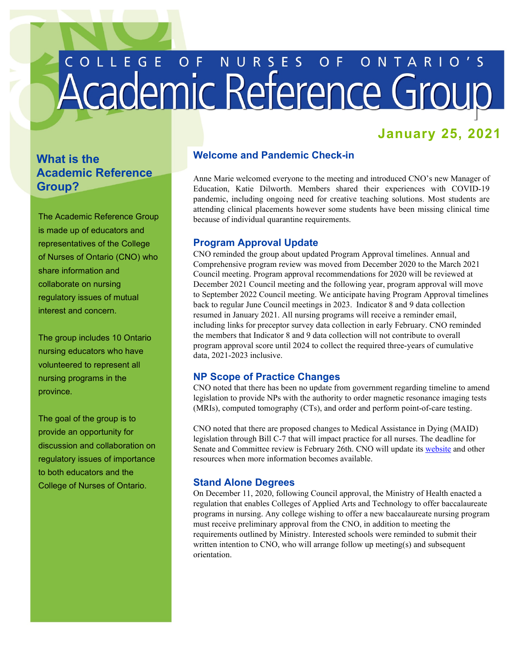# COLLEGE OF NURSES OF ONTARIO'S

# **January 25, 2021**

# **What is the Academic Reference Group?**

The Academic Reference Group is made up of educators and representatives of the College of Nurses of Ontario (CNO) who share information and collaborate on nursing regulatory issues of mutual interest and concern.

The group includes 10 Ontario nursing educators who have volunteered to represent all nursing programs in the province.

The goal of the group is to provide an opportunity for discussion and collaboration on regulatory issues of importance to both educators and the College of Nurses of Ontario.

# **Welcome and Pandemic Check-in**

 Anne Marie welcomed everyone to the meeting and introduced CNO's new Manager of attending clinical placements however some students have been missing clinical time because of individual quarantine requirements. Education, Katie Dilworth. Members shared their experiences with COVID-19 pandemic, including ongoing need for creative teaching solutions. Most students are

# **Program Approval Update**

 back to regular June Council meetings in 2023. Indicator 8 and 9 data collection resumed in January 2021. All nursing programs will receive a reminder email, including links for preceptor survey data collection in early February. CNO reminded data, 2021-2023 inclusive. CNO reminded the group about updated Program Approval timelines. Annual and Comprehensive program review was moved from December 2020 to the March 2021 Council meeting. Program approval recommendations for 2020 will be reviewed at December 2021 Council meeting and the following year, program approval will move to September 2022 Council meeting. We anticipate having Program Approval timelines the members that Indicator 8 and 9 data collection will not contribute to overall program approval score until 2024 to collect the required three-years of cumulative

# **NP Scope of Practice Changes**

 CNO noted that there has been no update from government regarding timeline to amend legislation to provide NPs with the authority to order magnetic resonance imaging tests (MRIs), computed tomography (CTs), and order and perform point-of-care testing.

CNO noted that there are proposed changes to Medical Assistance in Dying (MAID) legislation through Bill C-7 that will impact practice for all nurses. The deadline for Senate and Committee review is February 26th. CNO will update its [website a](https://www.cno.org/en/news/2020/december-2020/medical-assistance-in-dying-changes-coming-soon/)nd other resources when more information becomes available.

# **Stand Alone Degrees**

 written intention to CNO, who will arrange follow up meeting(s) and subsequent On December 11, 2020, following Council approval, the Ministry of Health enacted a regulation that enables Colleges of Applied Arts and Technology to offer baccalaureate programs in nursing. Any college wishing to offer a new baccalaureate nursing program must receive preliminary approval from the CNO, in addition to meeting the requirements outlined by Ministry. Interested schools were reminded to submit their orientation.